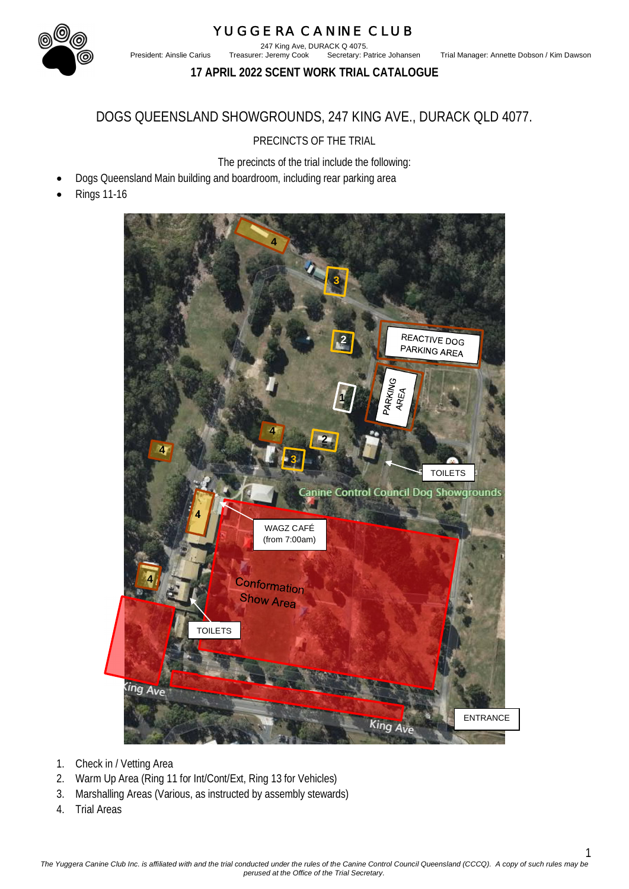# YUGGERA CANINE CLUB 247 King Ave, DURACK Q 4075.<br>Treasurer: Jeremy Cook Secretary: Patrice Johansen

President: Ainslie Carius Treasurer: Jeremy Cook Secretary: Patrice Johansen Trial Manager: Annette Dobson / Kim Dawson

**17 APRIL 2022 SCENT WORK TRIAL CATALOGUE**

## DOGS QUEENSLAND SHOWGROUNDS, 247 KING AVE., DURACK QLD 4077.

PRECINCTS OF THE TRIAL

The precincts of the trial include the following:

- Dogs Queensland Main building and boardroom, including rear parking area
- Rings 11-16



- 1. Check in / Vetting Area
- 2. Warm Up Area (Ring 11 for Int/Cont/Ext, Ring 13 for Vehicles)
- 3. Marshalling Areas (Various, as instructed by assembly stewards)
- 4. Trial Areas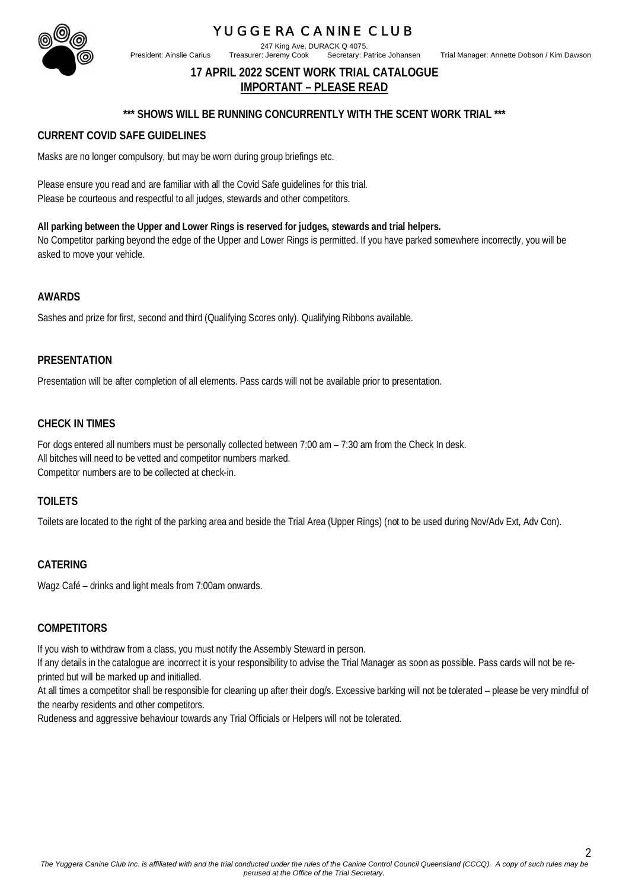247 King Ave, DURACK Q 4075.

President: Ainslie Carius Treasurer: Jeremy Cook Secretary: Patrice Johansen Trial Manager: Annette Dobson / Kim Dawson

 $\mathfrak{D}$ 

## **17 APRIL 2022 SCENT WORK TRIAL CATALOGUE IMPORTANT – PLEASE READ**

#### **\*\*\* SHOWS WILL BE RUNNING CONCURRENTLY WITH THE SCENT WORK TRIAL \*\*\***

#### **CURRENT COVID SAFE GUIDELINES**

Masks are no longer compulsory, but may be worn during group briefings etc.

Please ensure you read and are familiar with all the Covid Safe guidelines for this trial. Please be courteous and respectful to all judges, stewards and other competitors.

**All parking between the Upper and Lower Rings is reserved for judges, stewards and trial helpers.** No Competitor parking beyond the edge of the Upper and Lower Rings is permitted. If you have parked somewhere incorrectly, you will be asked to move your vehicle.

#### **AWARDS**

Sashes and prize for first, second and third (Qualifying Scores only). Qualifying Ribbons available.

#### **PRESENTATION**

Presentation will be after completion of all elements. Pass cards will not be available prior to presentation.

#### **CHECK IN TIMES**

For dogs entered all numbers must be personally collected between 7:00 am – 7:30 am from the Check In desk. All bitches will need to be vetted and competitor numbers marked. Competitor numbers are to be collected at check-in.

#### **TOILETS**

Toilets are located to the right of the parking area and beside the Trial Area (Upper Rings) (not to be used during Nov/Adv Ext, Adv Con).

#### **CATERING**

Wagz Café – drinks and light meals from 7:00am onwards.

#### **COMPETITORS**

If you wish to withdraw from a class, you must notify the Assembly Steward in person.

If any details in the catalogue are incorrect it is your responsibility to advise the Trial Manager as soon as possible. Pass cards will not be reprinted but will be marked up and initialled.

At all times a competitor shall be responsible for cleaning up after their dog/s. Excessive barking will not be tolerated – please be very mindful of the nearby residents and other competitors.

Rudeness and aggressive behaviour towards any Trial Officials or Helpers will not be tolerated.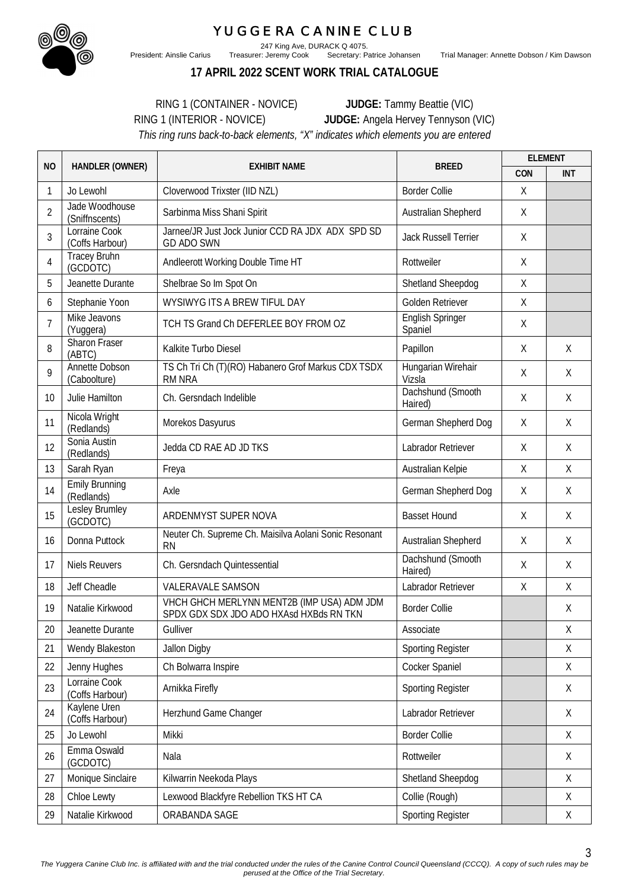

President: Ainslie Carius Treasurer: Jeremy Cook Secretary: Patrice Johansen Trial Manager: Annette Dobson / Kim Dawson

3

247 King Ave, DURACK Q 4075.<br>Treasurer: Jeremy Cook Secretary: Patrice Johansen

**17 APRIL 2022 SCENT WORK TRIAL CATALOGUE**

RING 1 (CONTAINER - NOVICE) **JUDGE:** Tammy Beattie (VIC) RING 1 (INTERIOR - NOVICE) **JUDGE:** Angela Hervey Tennyson (VIC) *This ring runs back-to-back elements, "X" indicates which elements you are entered*

| <b>NO</b>      |                                     | <b>BREED</b><br>HANDLER (OWNER)<br><b>EXHIBIT NAME</b>                                | <b>ELEMENT</b>               |         |             |
|----------------|-------------------------------------|---------------------------------------------------------------------------------------|------------------------------|---------|-------------|
|                |                                     |                                                                                       |                              | CON     | <b>INT</b>  |
| 1              | Jo Lewohl                           | Cloverwood Trixster (IID NZL)                                                         | <b>Border Collie</b>         | Χ       |             |
| $\overline{2}$ | Jade Woodhouse<br>(Sniffnscents)    | Sarbinma Miss Shani Spirit                                                            | Australian Shepherd          | Χ       |             |
| 3              | Lorraine Cook<br>(Coffs Harbour)    | Jarnee/JR Just Jock Junior CCD RA JDX ADX SPD SD<br><b>GD ADO SWN</b>                 | Jack Russell Terrier         | Χ       |             |
| 4              | <b>Tracey Bruhn</b><br>(GCDOTC)     | Andleerott Working Double Time HT                                                     | Rottweiler                   | X       |             |
| 5              | Jeanette Durante                    | Shelbrae So Im Spot On                                                                | Shetland Sheepdog            | X       |             |
| 6              | Stephanie Yoon                      | WYSIWYG ITS A BREW TIFUL DAY                                                          | Golden Retriever             | χ       |             |
| 7              | Mike Jeavons<br>(Yuggera)           | TCH TS Grand Ch DEFERLEE BOY FROM OZ                                                  | English Springer<br>Spaniel  | X       |             |
| 8              | Sharon Fraser<br>(ABTC)             | Kalkite Turbo Diesel                                                                  | Papillon                     | Χ       | X           |
| 9              | Annette Dobson<br>(Caboolture)      | TS Ch Tri Ch (T)(RO) Habanero Grof Markus CDX TSDX<br><b>RM NRA</b>                   | Hungarian Wirehair<br>Vizsla | Χ       | X           |
| 10             | Julie Hamilton                      | Ch. Gersndach Indelible                                                               | Dachshund (Smooth<br>Haired) | X       | X           |
| 11             | Nicola Wright<br>(Redlands)         | Morekos Dasyurus                                                                      | German Shepherd Dog          | X       | X           |
| 12             | Sonia Austin<br>(Redlands)          | Jedda CD RAE AD JD TKS                                                                | Labrador Retriever           | Χ       | X           |
| 13             | Sarah Ryan                          | Freya                                                                                 | Australian Kelpie            | X       | X           |
| 14             | <b>Emily Brunning</b><br>(Redlands) | Axle                                                                                  | German Shepherd Dog          | χ       | X           |
| 15             | Lesley Brumley<br>(GCDOTC)          | ARDENMYST SUPER NOVA                                                                  | <b>Basset Hound</b>          | X       | X           |
| 16             | Donna Puttock                       | Neuter Ch. Supreme Ch. Maisilva Aolani Sonic Resonant<br><b>RN</b>                    | Australian Shepherd          | X       | X           |
| 17             | <b>Niels Reuvers</b>                | Ch. Gersndach Quintessential                                                          | Dachshund (Smooth<br>Haired) | X       | X           |
| 18             | Jeff Cheadle                        | <b>VALERAVALE SAMSON</b>                                                              | Labrador Retriever           | $\sf X$ | X           |
| 19             | Natalie Kirkwood                    | VHCH GHCH MERLYNN MENT2B (IMP USA) ADM JDM<br>SPDX GDX SDX JDO ADO HXAsd HXBds RN TKN | <b>Border Collie</b>         |         | X           |
| 20             | Jeanette Durante                    | Gulliver                                                                              | Associate                    |         | Χ           |
| 21             | Wendy Blakeston                     | Jallon Digby                                                                          | <b>Sporting Register</b>     |         | X           |
| 22             | Jenny Hughes                        | Ch Bolwarra Inspire                                                                   | Cocker Spaniel               |         | Χ           |
| 23             | Lorraine Cook<br>(Coffs Harbour)    | Arnikka Firefly                                                                       | <b>Sporting Register</b>     |         | X           |
| 24             | Kaylene Uren<br>(Coffs Harbour)     | Herzhund Game Changer                                                                 | Labrador Retriever           |         | X           |
| 25             | Jo Lewohl                           | Mikki                                                                                 | <b>Border Collie</b>         |         | Χ           |
| 26             | Emma Oswald<br>(GCDOTC)             | Nala                                                                                  | Rottweiler                   |         | X           |
| 27             | Monique Sinclaire                   | Kilwarrin Neekoda Plays                                                               | Shetland Sheepdog            |         | X           |
| 28             | Chloe Lewty                         | Lexwood Blackfyre Rebellion TKS HT CA                                                 | Collie (Rough)               |         | Χ           |
| 29             | Natalie Kirkwood                    | ORABANDA SAGE                                                                         | <b>Sporting Register</b>     |         | $\mathsf X$ |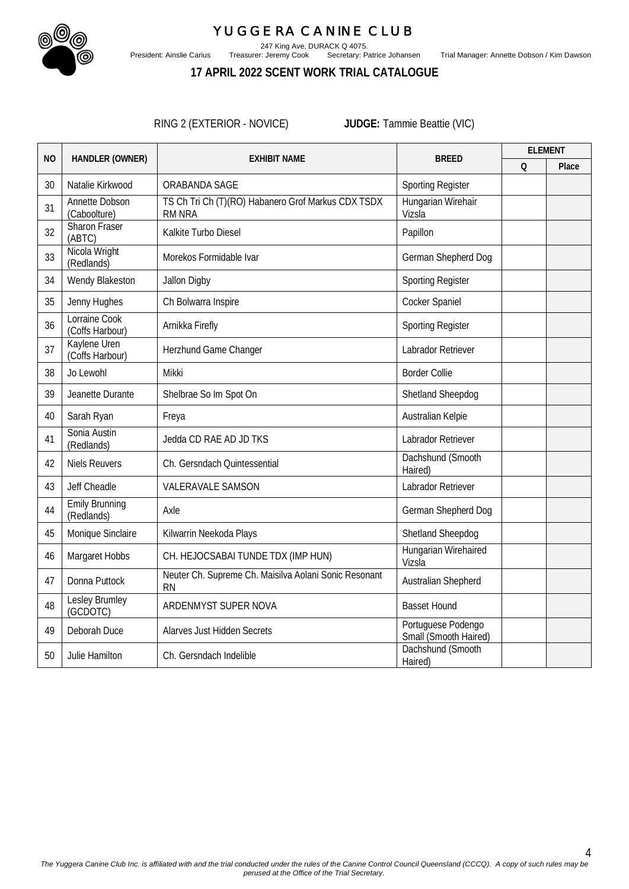

247 King Ave, DURACK Q 4075.

President: Ainslie Carius Treasurer: Jeremy Cook Secretary: Patrice Johansen Trial Manager: Annette Dobson / Kim Dawson

## **17 APRIL 2022 SCENT WORK TRIAL CATALOGUE**

RING 2 (EXTERIOR - NOVICE) **JUDGE:** Tammie Beattie (VIC)

| N <sub>O</sub> |                                       |                                                                     |                                             | <b>ELEMENT</b> |       |
|----------------|---------------------------------------|---------------------------------------------------------------------|---------------------------------------------|----------------|-------|
|                | HANDLER (OWNER)                       | <b>EXHIBIT NAME</b>                                                 | <b>BREED</b>                                | $\Omega$       | Place |
| 30             | Natalie Kirkwood                      | ORABANDA SAGE                                                       | <b>Sporting Register</b>                    |                |       |
| 31             | <b>Annette Dobson</b><br>(Caboolture) | TS Ch Tri Ch (T)(RO) Habanero Grof Markus CDX TSDX<br><b>RM NRA</b> | Hungarian Wirehair<br>Vizsla                |                |       |
| 32             | <b>Sharon Fraser</b><br>(ABTC)        | Kalkite Turbo Diesel                                                | Papillon                                    |                |       |
| 33             | Nicola Wright<br>(Redlands)           | Morekos Formidable Ivar                                             | German Shepherd Dog                         |                |       |
| 34             | Wendy Blakeston                       | Jallon Digby                                                        | <b>Sporting Register</b>                    |                |       |
| 35             | Jenny Hughes                          | Ch Bolwarra Inspire                                                 | Cocker Spaniel                              |                |       |
| 36             | Lorraine Cook<br>(Coffs Harbour)      | Arnikka Firefly                                                     | <b>Sporting Register</b>                    |                |       |
| 37             | Kaylene Uren<br>(Coffs Harbour)       | Herzhund Game Changer                                               | Labrador Retriever                          |                |       |
| 38             | Jo Lewohl                             | Mikki                                                               | <b>Border Collie</b>                        |                |       |
| 39             | Jeanette Durante                      | Shelbrae So Im Spot On                                              | Shetland Sheepdog                           |                |       |
| 40             | Sarah Ryan                            | Freya                                                               | Australian Kelpie                           |                |       |
| 41             | Sonia Austin<br>(Redlands)            | Jedda CD RAE AD JD TKS                                              | Labrador Retriever                          |                |       |
| 42             | <b>Niels Reuvers</b>                  | Ch. Gersndach Quintessential                                        | Dachshund (Smooth<br>Haired)                |                |       |
| 43             | Jeff Cheadle                          | <b>VALERAVALE SAMSON</b>                                            | Labrador Retriever                          |                |       |
| 44             | <b>Emily Brunning</b><br>(Redlands)   | Axle                                                                | German Shepherd Dog                         |                |       |
| 45             | Monique Sinclaire                     | Kilwarrin Neekoda Plays                                             | Shetland Sheepdog                           |                |       |
| 46             | Margaret Hobbs                        | CH. HEJOCSABAI TUNDE TDX (IMP HUN)                                  | Hungarian Wirehaired<br>Vizsla              |                |       |
| 47             | Donna Puttock                         | Neuter Ch. Supreme Ch. Maisilva Aolani Sonic Resonant<br><b>RN</b>  | Australian Shepherd                         |                |       |
| 48             | Lesley Brumley<br>(GCDOTC)            | ARDENMYST SUPER NOVA                                                | <b>Basset Hound</b>                         |                |       |
| 49             | Deborah Duce                          | <b>Alarves Just Hidden Secrets</b>                                  | Portuguese Podengo<br>Small (Smooth Haired) |                |       |
| 50             | Julie Hamilton                        | Ch. Gersndach Indelible                                             | Dachshund (Smooth<br>Haired)                |                |       |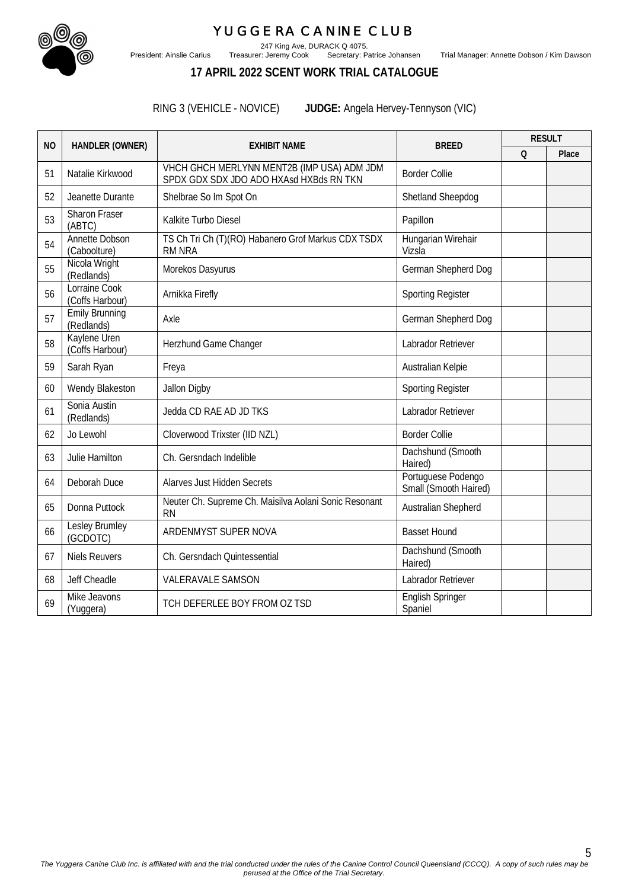

247 King Ave, DURACK Q 4075.

President: Ainslie Carius Treasurer: Jeremy Cook Secretary: Patrice Johansen Trial Manager: Annette Dobson / Kim Dawson

## **17 APRIL 2022 SCENT WORK TRIAL CATALOGUE**

RING 3 (VEHICLE - NOVICE) **JUDGE:** Angela Hervey-Tennyson (VIC)

|           |                                     |                                                                                       |                                             |          | <b>RESULT</b> |
|-----------|-------------------------------------|---------------------------------------------------------------------------------------|---------------------------------------------|----------|---------------|
| <b>NO</b> | HANDLER (OWNER)                     | <b>EXHIBIT NAME</b>                                                                   | <b>BREED</b>                                | $\Omega$ | Place         |
| 51        | Natalie Kirkwood                    | VHCH GHCH MERLYNN MENT2B (IMP USA) ADM JDM<br>SPDX GDX SDX JDO ADO HXAsd HXBds RN TKN | <b>Border Collie</b>                        |          |               |
| 52        | Jeanette Durante                    | Shelbrae So Im Spot On                                                                | Shetland Sheepdog                           |          |               |
| 53        | Sharon Fraser<br>(ABTC)             | Kalkite Turbo Diesel                                                                  | Papillon                                    |          |               |
| 54        | Annette Dobson<br>(Caboolture)      | TS Ch Tri Ch (T)(RO) Habanero Grof Markus CDX TSDX<br><b>RM NRA</b>                   | Hungarian Wirehair<br>Vizsla                |          |               |
| 55        | Nicola Wright<br>(Redlands)         | Morekos Dasyurus                                                                      | German Shepherd Dog                         |          |               |
| 56        | Lorraine Cook<br>(Coffs Harbour)    | Arnikka Firefly                                                                       | <b>Sporting Register</b>                    |          |               |
| 57        | <b>Emily Brunning</b><br>(Redlands) | Axle                                                                                  | German Shepherd Dog                         |          |               |
| 58        | Kaylene Uren<br>(Coffs Harbour)     | Herzhund Game Changer                                                                 | Labrador Retriever                          |          |               |
| 59        | Sarah Ryan                          | Freya                                                                                 | Australian Kelpie                           |          |               |
| 60        | Wendy Blakeston                     | Jallon Digby                                                                          | <b>Sporting Register</b>                    |          |               |
| 61        | Sonia Austin<br>(Redlands)          | Jedda CD RAE AD JD TKS                                                                | Labrador Retriever                          |          |               |
| 62        | Jo Lewohl                           | Cloverwood Trixster (IID NZL)                                                         | <b>Border Collie</b>                        |          |               |
| 63        | Julie Hamilton                      | Ch. Gersndach Indelible                                                               | Dachshund (Smooth<br>Haired)                |          |               |
| 64        | Deborah Duce                        | <b>Alarves Just Hidden Secrets</b>                                                    | Portuguese Podengo<br>Small (Smooth Haired) |          |               |
| 65        | Donna Puttock                       | Neuter Ch. Supreme Ch. Maisilva Aolani Sonic Resonant<br><b>RN</b>                    | Australian Shepherd                         |          |               |
| 66        | Lesley Brumley<br>(GCDOTC)          | ARDENMYST SUPER NOVA                                                                  | <b>Basset Hound</b>                         |          |               |
| 67        | <b>Niels Reuvers</b>                | Ch. Gersndach Quintessential                                                          | Dachshund (Smooth<br>Haired)                |          |               |
| 68        | Jeff Cheadle                        | <b>VALERAVALE SAMSON</b>                                                              | Labrador Retriever                          |          |               |
| 69        | Mike Jeavons<br>(Yuggera)           | TCH DEFERLEE BOY FROM OZ TSD                                                          | <b>English Springer</b><br>Spaniel          |          |               |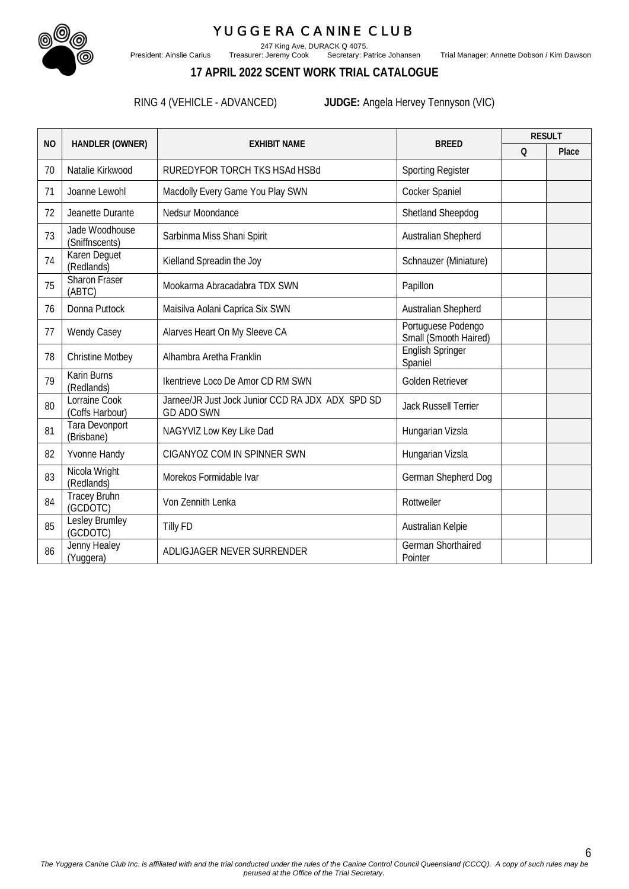

247 King Ave, DURACK Q 4075.

President: Ainslie Carius Treasurer: Jeremy Cook Secretary: Patrice Johansen Trial Manager: Annette Dobson / Kim Dawson

### **17 APRIL 2022 SCENT WORK TRIAL CATALOGUE**

RING 4 (VEHICLE - ADVANCED) **JUDGE:** Angela Hervey Tennyson (VIC)

|           |                                  |                                                                       |                                             |          | <b>RESULT</b> |
|-----------|----------------------------------|-----------------------------------------------------------------------|---------------------------------------------|----------|---------------|
| <b>NO</b> | HANDLER (OWNER)                  | <b>EXHIBIT NAME</b>                                                   | <b>BREED</b>                                | $\Omega$ | Place         |
| 70        | Natalie Kirkwood                 | RUREDYFOR TORCH TKS HSAd HSBd                                         | <b>Sporting Register</b>                    |          |               |
| 71        | Joanne Lewohl                    | Macdolly Every Game You Play SWN                                      | Cocker Spaniel                              |          |               |
| 72        | Jeanette Durante                 | Nedsur Moondance                                                      | Shetland Sheepdog                           |          |               |
| 73        | Jade Woodhouse<br>(Sniffnscents) | Sarbinma Miss Shani Spirit                                            | Australian Shepherd                         |          |               |
| 74        | Karen Deguet<br>(Redlands)       | Kielland Spreadin the Joy                                             | Schnauzer (Miniature)                       |          |               |
| 75        | Sharon Fraser<br>(ABTC)          | Mookarma Abracadabra TDX SWN                                          | Papillon                                    |          |               |
| 76        | Donna Puttock                    | Maisilva Aolani Caprica Six SWN                                       | Australian Shepherd                         |          |               |
| 77        | <b>Wendy Casey</b>               | Alarves Heart On My Sleeve CA                                         | Portuguese Podengo<br>Small (Smooth Haired) |          |               |
| 78        | <b>Christine Motbey</b>          | Alhambra Aretha Franklin                                              | English Springer<br>Spaniel                 |          |               |
| 79        | <b>Karin Burns</b><br>(Redlands) | Ikentrieve Loco De Amor CD RM SWN                                     | Golden Retriever                            |          |               |
| 80        | Lorraine Cook<br>(Coffs Harbour) | Jarnee/JR Just Jock Junior CCD RA JDX ADX SPD SD<br><b>GD ADO SWN</b> | <b>Jack Russell Terrier</b>                 |          |               |
| 81        | Tara Devonport<br>(Brisbane)     | NAGYVIZ Low Key Like Dad                                              | Hungarian Vizsla                            |          |               |
| 82        | Yvonne Handy                     | CIGANYOZ COM IN SPINNER SWN                                           | Hungarian Vizsla                            |          |               |
| 83        | Nicola Wright<br>(Redlands)      | Morekos Formidable Ivar                                               | German Shepherd Dog                         |          |               |
| 84        | <b>Tracey Bruhn</b><br>(GCDOTC)  | Von Zennith Lenka                                                     | Rottweiler                                  |          |               |
| 85        | Lesley Brumley<br>(GCDOTC)       | <b>Tilly FD</b>                                                       | Australian Kelpie                           |          |               |
| 86        | Jenny Healey<br>(Yuggera)        | ADLIGJAGER NEVER SURRENDER                                            | German Shorthaired<br>Pointer               |          |               |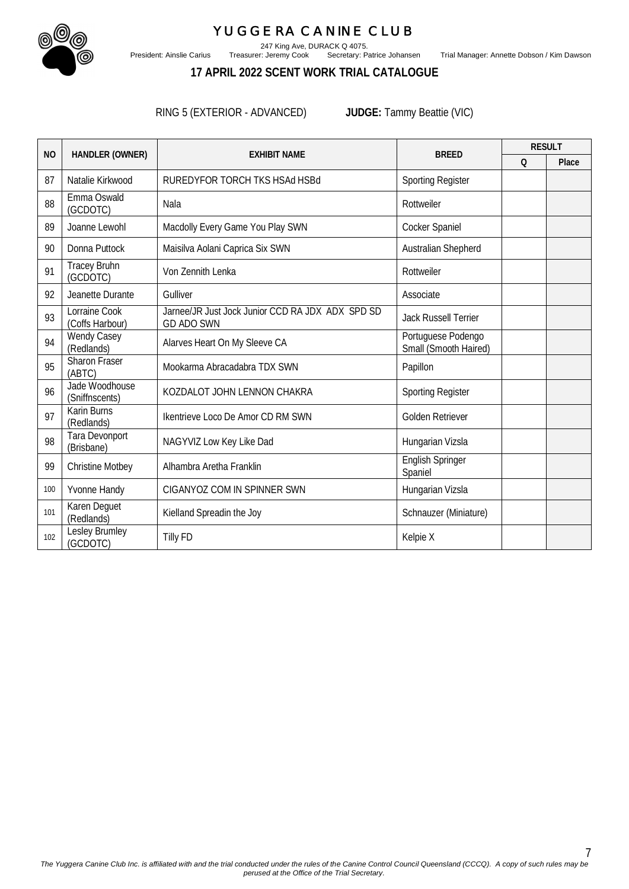

247 King Ave, DURACK Q 4075.

President: Ainslie Carius Treasurer: Jeremy Cook Secretary: Patrice Johansen Trial Manager: Annette Dobson / Kim Dawson

## **17 APRIL 2022 SCENT WORK TRIAL CATALOGUE**

RING 5 (EXTERIOR - ADVANCED) **JUDGE:** Tammy Beattie (VIC)

|           |                                  |                                                                       |                                             | <b>RESULT</b> |       |
|-----------|----------------------------------|-----------------------------------------------------------------------|---------------------------------------------|---------------|-------|
| <b>NO</b> | HANDLER (OWNER)                  | <b>EXHIBIT NAME</b>                                                   | <b>BREED</b>                                | $\Omega$      | Place |
| 87        | Natalie Kirkwood                 | RUREDYFOR TORCH TKS HSAd HSBd                                         | <b>Sporting Register</b>                    |               |       |
| 88        | Emma Oswald<br>(GCDOTC)          | Nala                                                                  | Rottweiler                                  |               |       |
| 89        | Joanne Lewohl                    | Macdolly Every Game You Play SWN                                      | Cocker Spaniel                              |               |       |
| 90        | Donna Puttock                    | Maisilva Aolani Caprica Six SWN                                       | Australian Shepherd                         |               |       |
| 91        | <b>Tracey Bruhn</b><br>(GCDOTC)  | Von Zennith Lenka                                                     | Rottweiler                                  |               |       |
| 92        | Jeanette Durante                 | Gulliver                                                              | Associate                                   |               |       |
| 93        | Lorraine Cook<br>(Coffs Harbour) | Jarnee/JR Just Jock Junior CCD RA JDX ADX SPD SD<br><b>GD ADO SWN</b> | <b>Jack Russell Terrier</b>                 |               |       |
| 94        | <b>Wendy Casey</b><br>(Redlands) | Alarves Heart On My Sleeve CA                                         | Portuguese Podengo<br>Small (Smooth Haired) |               |       |
| 95        | Sharon Fraser<br>(ABTC)          | Mookarma Abracadabra TDX SWN                                          | Papillon                                    |               |       |
| 96        | Jade Woodhouse<br>(Sniffnscents) | KOZDALOT JOHN LENNON CHAKRA                                           | <b>Sporting Register</b>                    |               |       |
| 97        | <b>Karin Burns</b><br>(Redlands) | Ikentrieve Loco De Amor CD RM SWN                                     | Golden Retriever                            |               |       |
| 98        | Tara Devonport<br>(Brisbane)     | NAGYVIZ Low Key Like Dad                                              | Hungarian Vizsla                            |               |       |
| 99        | <b>Christine Motbey</b>          | Alhambra Aretha Franklin                                              | English Springer<br>Spaniel                 |               |       |
| 100       | Yvonne Handy                     | CIGANYOZ COM IN SPINNER SWN                                           | Hungarian Vizsla                            |               |       |
| 101       | Karen Deguet<br>(Redlands)       | Kielland Spreadin the Joy                                             | Schnauzer (Miniature)                       |               |       |
| 102       | Lesley Brumley<br>(GCDOTC)       | <b>Tilly FD</b>                                                       | Kelpie X                                    |               |       |